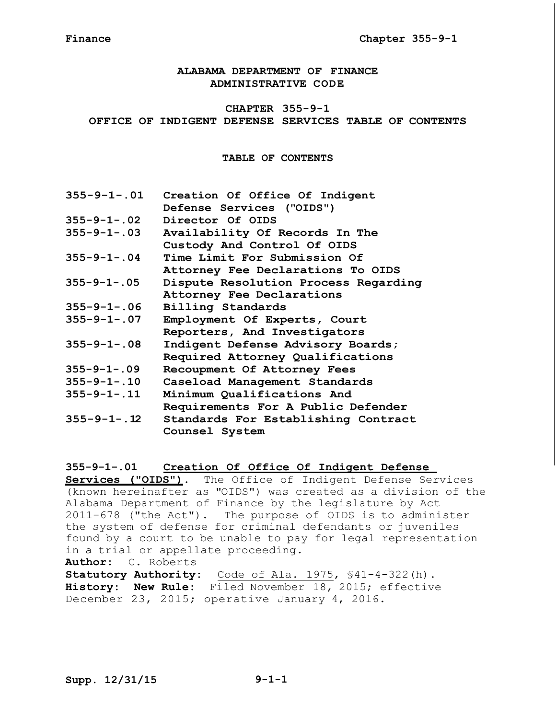**ALABAMA DEPARTMENT OF FINANCE ADMINISTRATIVE CODE**

# **CHAPTER 355-9-1 OFFICE OF INDIGENT DEFENSE SERVICES TABLE OF CONTENTS**

**TABLE OF CONTENTS**

| $355 - 9 - 1 - .01$ | Creation Of Office Of Indigent       |  |  |
|---------------------|--------------------------------------|--|--|
|                     | Defense Services ("OIDS")            |  |  |
| $355 - 9 - 1 - .02$ | Director Of OIDS                     |  |  |
| $355 - 9 - 1 - .03$ | Availability Of Records In The       |  |  |
|                     | Custody And Control Of OIDS          |  |  |
| $355 - 9 - 1 - .04$ | Time Limit For Submission Of         |  |  |
|                     | Attorney Fee Declarations To OIDS    |  |  |
| $355 - 9 - 1 - .05$ | Dispute Resolution Process Regarding |  |  |
|                     | Attorney Fee Declarations            |  |  |
| $355 - 9 - 1 - .06$ | Billing Standards                    |  |  |
| $355 - 9 - 1 - .07$ | Employment Of Experts, Court         |  |  |
|                     | Reporters, And Investigators         |  |  |
| $355 - 9 - 1 - .08$ | Indigent Defense Advisory Boards;    |  |  |
|                     | Required Attorney Qualifications     |  |  |
| $355 - 9 - 1 - .09$ | Recoupment Of Attorney Fees          |  |  |
| $355 - 9 - 1 - .10$ | Caseload Management Standards        |  |  |
| $355 - 9 - 1 - .11$ | Minimum Qualifications And           |  |  |
|                     | Requirements For A Public Defender   |  |  |
| $355 - 9 - 1 - .12$ | Standards For Establishing Contract  |  |  |
|                     | Counsel System                       |  |  |

# **355-9-1-.01 Creation Of Office Of Indigent Defense**

**Services ("OIDS")**. The Office of Indigent Defense Services (known hereinafter as "OIDS") was created as a division of the Alabama Department of Finance by the legislature by Act 2011-678 ("the Act"). The purpose of OIDS is to administer the system of defense for criminal defendants or juveniles found by a court to be unable to pay for legal representation in a trial or appellate proceeding. **Author:** C. Roberts **Statutory Authority:** Code of Ala. 1975, §41-4-322(h). **History: New Rule:** Filed November 18, 2015; effective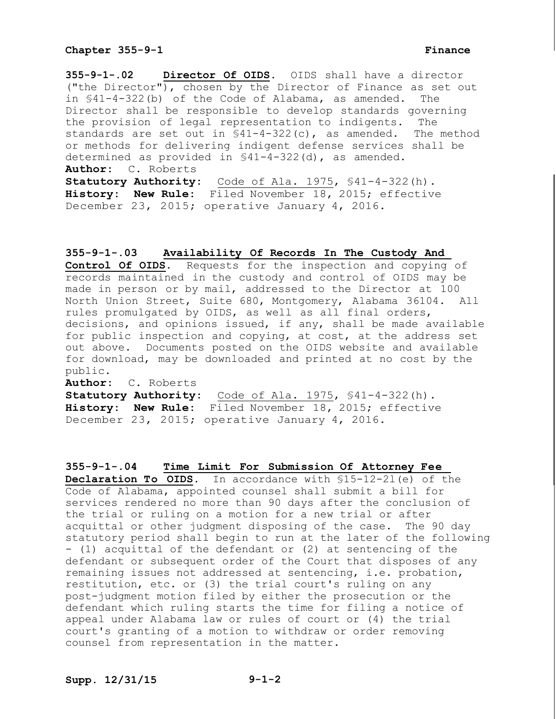**355-9-1-.02 Director Of OIDS.** OIDS shall have a director ("the Director"), chosen by the Director of Finance as set out in §41-4-322(b) of the Code of Alabama, as amended. The Director shall be responsible to develop standards governing the provision of legal representation to indigents. The standards are set out in §41-4-322(c), as amended. The method or methods for delivering indigent defense services shall be determined as provided in §41-4-322(d), as amended. **Author:** C. Roberts **Statutory Authority:** Code of Ala. 1975, §41-4-322(h). **History: New Rule:** Filed November 18, 2015; effective December 23, 2015; operative January 4, 2016.

### **355-9-1-.03 Availability Of Records In The Custody And**

**Control Of OIDS.** Requests for the inspection and copying of records maintained in the custody and control of OIDS may be made in person or by mail, addressed to the Director at 100 North Union Street, Suite 680, Montgomery, Alabama 36104. All rules promulgated by OIDS, as well as all final orders, decisions, and opinions issued, if any, shall be made available for public inspection and copying, at cost, at the address set out above. Documents posted on the OIDS website and available for download, may be downloaded and printed at no cost by the public.

**Author:** C. Roberts

**Statutory Authority:** Code of Ala. 1975, §41-4-322(h). **History: New Rule:** Filed November 18, 2015; effective December 23, 2015; operative January 4, 2016.

### **355-9-1-.04 Time Limit For Submission Of Attorney Fee**

**Declaration To OIDS.** In accordance with §15-12-2l(e) of the Code of Alabama, appointed counsel shall submit a bill for services rendered no more than 90 days after the conclusion of the trial or ruling on a motion for a new trial or after acquittal or other judgment disposing of the case. The 90 day statutory period shall begin to run at the later of the following - (1) acquittal of the defendant or (2) at sentencing of the defendant or subsequent order of the Court that disposes of any remaining issues not addressed at sentencing, i.e. probation, restitution, etc. or (3) the trial court's ruling on any post-judgment motion filed by either the prosecution or the defendant which ruling starts the time for filing a notice of appeal under Alabama law or rules of court or (4) the trial court's granting of a motion to withdraw or order removing counsel from representation in the matter.

**Supp. 12/31/15 9-1-2**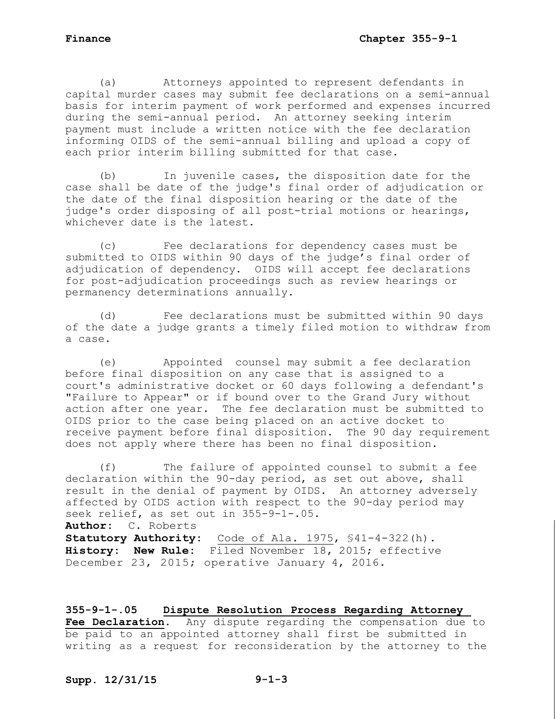(a) Attorneys appointed to represent defendants in capital murder cases may submit fee declarations on a semi-annual basis for interim payment of work performed and expenses incurred during the semi-annual period. An attorney seeking interim payment must include a written notice with the fee declaration informing OIDS of the semi-annual billing and upload a copy of each prior interim billing submitted for that case.

(b) In juvenile cases, the disposition date for the case shall be date of the judge's final order of adjudication or the date of the final disposition hearing or the date of the judge's order disposing of all post-trial motions or hearings, whichever date is the latest.

(c) Fee declarations for dependency cases must be submitted to OIDS within 90 days of the judge's final order of adjudication of dependency. OIDS will accept fee declarations for post-adjudication proceedings such as review hearings or permanency determinations annually.

(d) Fee declarations must be submitted within 90 days of the date a judge grants a timely filed motion to withdraw from a case.

(e) Appointed counsel may submit a fee declaration before final disposition on any case that is assigned to a court's administrative docket or 60 days following a defendant's "Failure to Appear" or if bound over to the Grand Jury without action after one year. The fee declaration must be submitted to OIDS prior to the case being placed on an active docket to receive payment before final disposition. The 90 day requirement does not apply where there has been no final disposition.

(f) The failure of appointed counsel to submit a fee declaration within the 90-day period, as set out above, shall result in the denial of payment by OIDS. An attorney adversely affected by OIDS action with respect to the 90-day period may seek relief, as set out in 355-9-1-.05. **Author:** C. Roberts **Statutory Authority:** Code of Ala. 1975, §41-4-322(h). **History: New Rule:** Filed November 18, 2015; effective December 23, 2015; operative January 4, 2016.

**355-9-1-.05 Dispute Resolution Process Regarding Attorney Fee Declaration.** Any dispute regarding the compensation due to be paid to an appointed attorney shall first be submitted in writing as a request for reconsideration by the attorney to the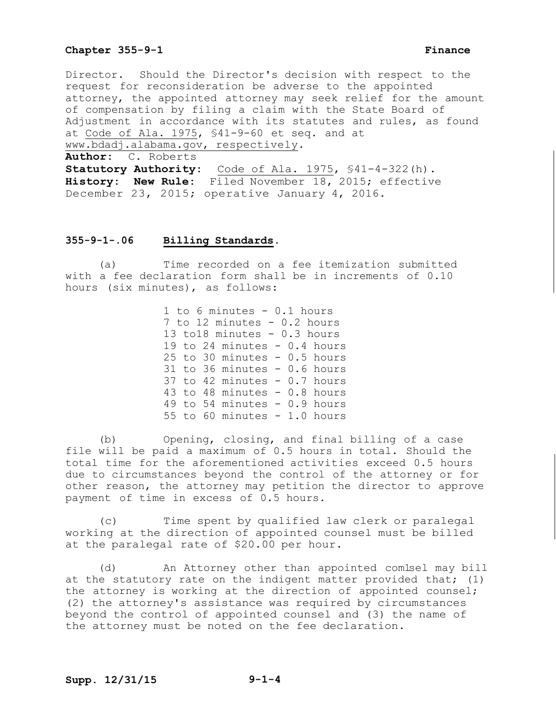Director. Should the Director's decision with respect to the request for reconsideration be adverse to the appointed attorney, the appointed attorney may seek relief for the amount of compensation by filing a claim with the State Board of Adjustment in accordance with its statutes and rules, as found at Code of Ala. 1975, §41-9-60 et seq. and at www.bdadj.alabama.gov, respectively. **Author:** C. Roberts **Statutory Authority:** Code of Ala. 1975, §41-4-322(h).

**History: New Rule:** Filed November 18, 2015; effective December 23, 2015; operative January 4, 2016.

### **355-9-1-.06 Billing Standards.**

(a) Time recorded on a fee itemization submitted with a fee declaration form shall be in increments of 0.10 hours (six minutes), as follows:

> 1 to 6 minutes - 0.1 hours 7 to 12 minutes - 0.2 hours 13 to18 minutes - 0.3 hours 19 to 24 minutes - 0.4 hours 25 to 30 minutes  $-0.5$  hours 31 to 36 minutes - 0.6 hours 37 to 42 minutes - 0.7 hours 43 to 48 minutes - 0.8 hours 49 to 54 minutes - 0.9 hours 55 to 60 minutes  $-1.0$  hours

(b) Opening, closing, and final billing of a case file will be paid a maximum of 0.5 hours in total. Should the total time for the aforementioned activities exceed 0.5 hours due to circumstances beyond the control of the attorney or for other reason, the attorney may petition the director to approve payment of time in excess of 0.5 hours.

(c) Time spent by qualified law clerk or paralegal working at the direction of appointed counsel must be billed at the paralegal rate of \$20.00 per hour.

(d) An Attorney other than appointed com1sel may bill at the statutory rate on the indigent matter provided that; (1) the attorney is working at the direction of appointed counsel; (2) the attorney's assistance was required by circumstances beyond the control of appointed counsel and (3) the name of the attorney must be noted on the fee declaration.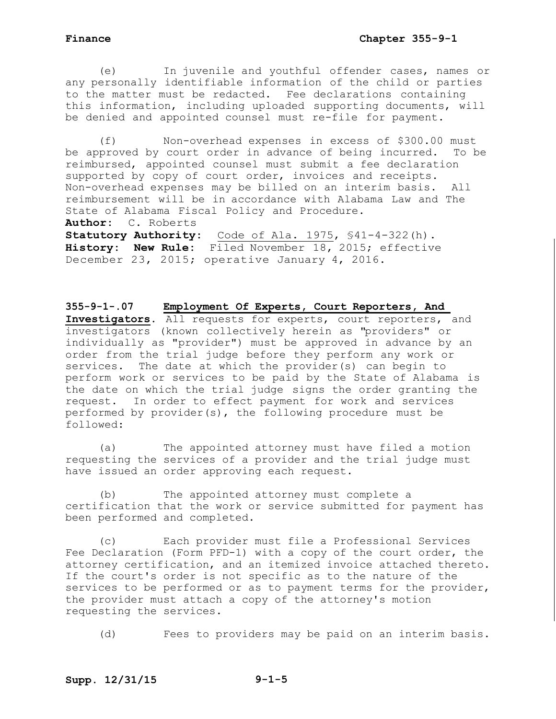(e) In juvenile and youthful offender cases, names or any personally identifiable information of the child or parties to the matter must be redacted. Fee declarations containing this information, including uploaded supporting documents, will be denied and appointed counsel must re-file for payment.

(f) Non-overhead expenses in excess of \$300.00 must be approved by court order in advance of being incurred. To be reimbursed, appointed counsel must submit a fee declaration supported by copy of court order, invoices and receipts. Non-overhead expenses may be billed on an interim basis. All reimbursement will be in accordance with Alabama Law and The State of Alabama Fiscal Policy and Procedure.

**Author:** C. Roberts

**Statutory Authority:** Code of Ala. 1975, §41-4-322(h). **History: New Rule:** Filed November 18, 2015; effective December 23, 2015; operative January 4, 2016.

**355-9-1-.07 Employment Of Experts, Court Reporters, And Investigators.** All requests for experts, court reporters, and investigators (known collectively herein as "providers" or individually as "provider") must be approved in advance by an order from the trial judge before they perform any work or services. The date at which the provider(s) can begin to perform work or services to be paid by the State of Alabama is the date on which the trial judge signs the order granting the request. In order to effect payment for work and services performed by provider(s), the following procedure must be followed:

(a) The appointed attorney must have filed a motion requesting the services of a provider and the trial judge must have issued an order approving each request.

(b) The appointed attorney must complete a certification that the work or service submitted for payment has been performed and completed.

(c) Each provider must file a Professional Services Fee Declaration (Form PFD-1) with a copy of the court order, the attorney certification, and an itemized invoice attached thereto. If the court's order is not specific as to the nature of the services to be performed or as to payment terms for the provider, the provider must attach a copy of the attorney's motion requesting the services.

(d) Fees to providers may be paid on an interim basis.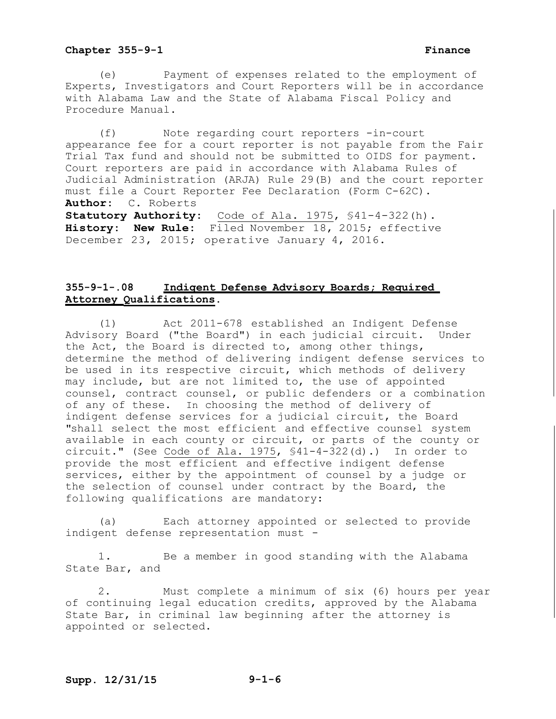(e) Payment of expenses related to the employment of Experts, Investigators and Court Reporters will be in accordance with Alabama Law and the State of Alabama Fiscal Policy and Procedure Manual.

(f) Note regarding court reporters -in-court appearance fee for a court reporter is not payable from the Fair Trial Tax fund and should not be submitted to OIDS for payment. Court reporters are paid in accordance with Alabama Rules of Judicial Administration (ARJA) Rule 29(B) and the court reporter must file a Court Reporter Fee Declaration (Form C-62C). **Author:** C. Roberts Statutory Authority: Code of Ala. 1975, \$41-4-322(h). **History: New Rule:** Filed November 18, 2015; effective December 23, 2015; operative January 4, 2016.

# **355-9-1-.08 Indigent Defense Advisory Boards; Required Attorney Qualifications.**

(1) Act 2011-678 established an Indigent Defense Advisory Board ("the Board") in each judicial circuit. Under the Act, the Board is directed to, among other things, determine the method of delivering indigent defense services to be used in its respective circuit, which methods of delivery may include, but are not limited to, the use of appointed counsel, contract counsel, or public defenders or a combination of any of these. In choosing the method of delivery of indigent defense services for a judicial circuit, the Board "shall select the most efficient and effective counsel system available in each county or circuit, or parts of the county or circuit." (See Code of Ala. 1975, §41-4-322(d).) In order to provide the most efficient and effective indigent defense services, either by the appointment of counsel by a judge or the selection of counsel under contract by the Board, the following qualifications are mandatory:

(a) Each attorney appointed or selected to provide indigent defense representation must -

1. Be a member in good standing with the Alabama State Bar, and

2. Must complete a minimum of six (6) hours per year of continuing legal education credits, approved by the Alabama State Bar, in criminal law beginning after the attorney is appointed or selected.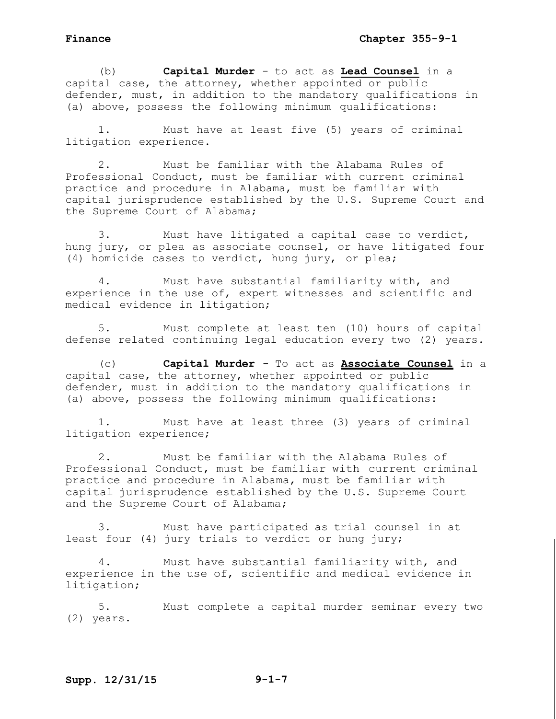(b) **Capital Murder** - to act as **Lead Counsel** in a capital case, the attorney, whether appointed or public defender, must, in addition to the mandatory qualifications in (a) above, possess the following minimum qualifications:

1. Must have at least five (5) years of criminal litigation experience.

2. Must be familiar with the Alabama Rules of Professional Conduct, must be familiar with current criminal practice and procedure in Alabama, must be familiar with capital jurisprudence established by the U.S. Supreme Court and the Supreme Court of Alabama;

3. Must have litigated a capital case to verdict, hung jury, or plea as associate counsel, or have litigated four (4) homicide cases to verdict, hung jury, or plea;

4. Must have substantial familiarity with, and experience in the use of, expert witnesses and scientific and medical evidence in litigation;

5. Must complete at least ten (10) hours of capital defense related continuing legal education every two (2) years.

(c) **Capital Murder** - To act as **Associate Counsel** in a capital case, the attorney, whether appointed or public defender, must in addition to the mandatory qualifications in (a) above, possess the following minimum qualifications:

1. Must have at least three (3) years of criminal litigation experience;

2. Must be familiar with the Alabama Rules of Professional Conduct, must be familiar with current criminal practice and procedure in Alabama, must be familiar with capital jurisprudence established by the U.S. Supreme Court and the Supreme Court of Alabama;

3. Must have participated as trial counsel in at least four (4) jury trials to verdict or hung jury;

4. Must have substantial familiarity with, and experience in the use of, scientific and medical evidence in litigation;

5. Must complete a capital murder seminar every two (2) years.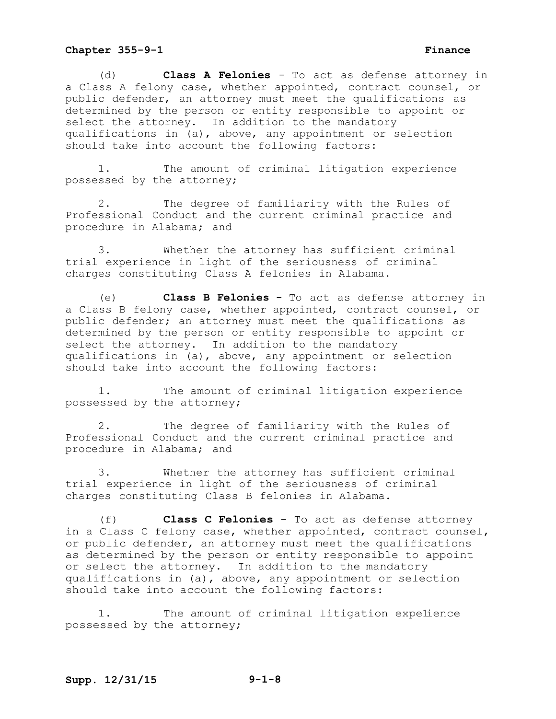(d) **Class A Felonies** - To act as defense attorney in a Class A felony case, whether appointed, contract counsel, or public defender, an attorney must meet the qualifications as determined by the person or entity responsible to appoint or select the attorney. In addition to the mandatory qualifications in (a), above, any appointment or selection should take into account the following factors:

1. The amount of criminal litigation experience possessed by the attorney;

2. The degree of familiarity with the Rules of Professional Conduct and the current criminal practice and procedure in Alabama; and

3. Whether the attorney has sufficient criminal trial experience in light of the seriousness of criminal charges constituting Class A felonies in Alabama.

(e) **Class B Felonies** - To act as defense attorney in a Class B felony case, whether appointed, contract counsel, or public defender; an attorney must meet the qualifications as determined by the person or entity responsible to appoint or select the attorney. In addition to the mandatory qualifications in (a), above, any appointment or selection should take into account the following factors:

1. The amount of criminal litigation experience possessed by the attorney;

2. The degree of familiarity with the Rules of Professional Conduct and the current criminal practice and procedure in Alabama; and

3. Whether the attorney has sufficient criminal trial experience in light of the seriousness of criminal charges constituting Class B felonies in Alabama.

(f) **Class C Felonies** - To act as defense attorney in a Class C felony case, whether appointed, contract counsel, or public defender, an attorney must meet the qualifications as determined by the person or entity responsible to appoint or select the attorney. In addition to the mandatory qualifications in (a), above, any appointment or selection should take into account the following factors:

1. The amount of criminal litigation expelience possessed by the attorney;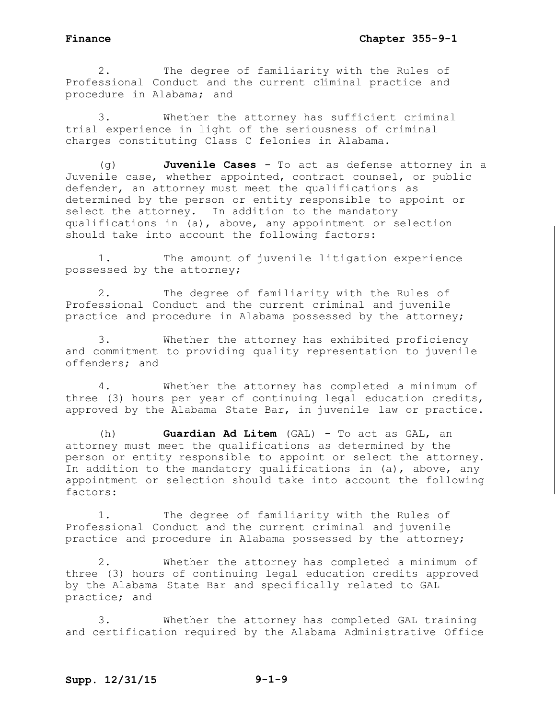2. The degree of familiarity with the Rules of Professional Conduct and the current climinal practice and procedure in Alabama; and

3. Whether the attorney has sufficient criminal trial experience in light of the seriousness of criminal charges constituting Class C felonies in Alabama.

(g) **Juvenile Cases** - To act as defense attorney in a Juvenile case, whether appointed, contract counsel, or public defender, an attorney must meet the qualifications as determined by the person or entity responsible to appoint or select the attorney. In addition to the mandatory qualifications in (a), above, any appointment or selection should take into account the following factors:

1. The amount of juvenile litigation experience possessed by the attorney;

2. The degree of familiarity with the Rules of Professional Conduct and the current criminal and juvenile practice and procedure in Alabama possessed by the attorney;

3. Whether the attorney has exhibited proficiency and commitment to providing quality representation to juvenile offenders; and

4. Whether the attorney has completed a minimum of three (3) hours per year of continuing legal education credits, approved by the Alabama State Bar, in juvenile law or practice.

(h) **Guardian Ad Litem** (GAL) - To act as GAL, an attorney must meet the qualifications as determined by the person or entity responsible to appoint or select the attorney. In addition to the mandatory qualifications in (a), above, any appointment or selection should take into account the following factors:

1. The degree of familiarity with the Rules of Professional Conduct and the current criminal and juvenile practice and procedure in Alabama possessed by the attorney;

2. Whether the attorney has completed a minimum of three (3) hours of continuing legal education credits approved by the Alabama State Bar and specifically related to GAL practice; and

3. Whether the attorney has completed GAL training and certification required by the Alabama Administrative Office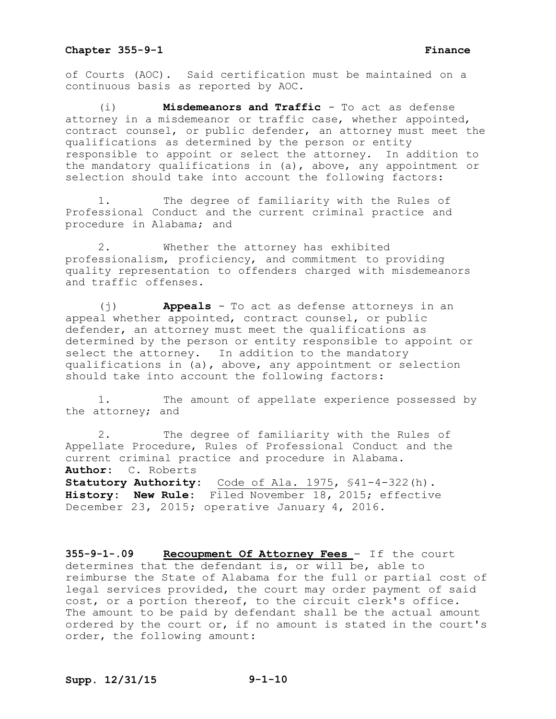of Courts (AOC). Said certification must be maintained on a continuous basis as reported by AOC.

(i) **Misdemeanors and Traffic** - To act as defense attorney in a misdemeanor or traffic case, whether appointed, contract counsel, or public defender, an attorney must meet the qualifications as determined by the person or entity responsible to appoint or select the attorney. In addition to the mandatory qualifications in (a), above, any appointment or selection should take into account the following factors:

1. The degree of familiarity with the Rules of Professional Conduct and the current criminal practice and procedure in Alabama; and

2. Whether the attorney has exhibited professionalism, proficiency, and commitment to providing quality representation to offenders charged with misdemeanors and traffic offenses.

(j) **Appeals** - To act as defense attorneys in an appeal whether appointed, contract counsel, or public defender, an attorney must meet the qualifications as determined by the person or entity responsible to appoint or select the attorney. In addition to the mandatory qualifications in (a), above, any appointment or selection should take into account the following factors:

1. The amount of appellate experience possessed by the attorney; and

2. The degree of familiarity with the Rules of Appellate Procedure, Rules of Professional Conduct and the current criminal practice and procedure in Alabama. **Author:** C. Roberts **Statutory Authority:** Code of Ala. 1975, §41-4-322(h). **History: New Rule:** Filed November 18, 2015; effective December 23, 2015; operative January 4, 2016.

**355-9-1-.09 Recoupment Of Attorney Fees** - If the court determines that the defendant is, or will be, able to reimburse the State of Alabama for the full or partial cost of legal services provided, the court may order payment of said cost, or a portion thereof, to the circuit clerk's office. The amount to be paid by defendant shall be the actual amount ordered by the court or, if no amount is stated in the court's order, the following amount: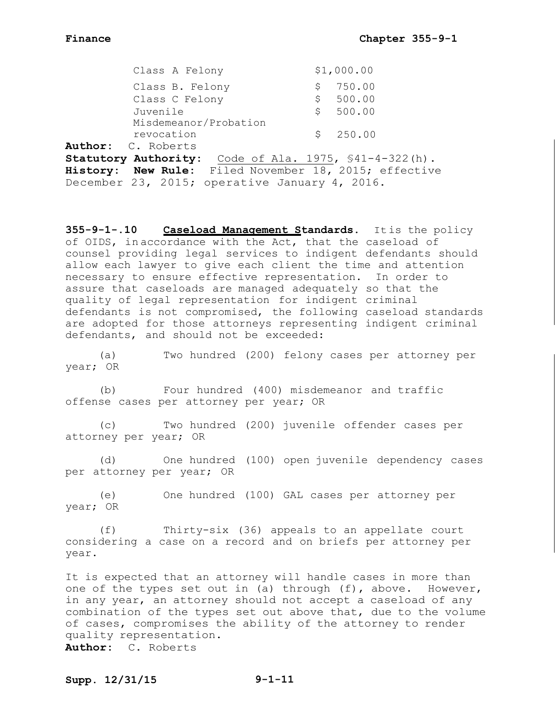|          | Class A Felony            |     | \$1,000.00 |
|----------|---------------------------|-----|------------|
|          | Class B. Felony           |     | \$750.00   |
|          | Class C Felony            | S – | 500.00     |
| Juvenile |                           |     | \$500.00   |
|          | Misdemeanor/Probation     |     |            |
|          | revocation                |     | \$250.00   |
|          | <b>Author:</b> C. Roberts |     |            |

**Statutory Authority:** Code of Ala. 1975, §41-4-322(h). **History: New Rule:** Filed November 18, 2015; effective December 23, 2015; operative January 4, 2016.

**355-9-1-.10 Caseload Management Standards.** Itis the policy of OIDS, in accordance with the Act, that the caseload of counsel providing legal services to indigent defendants should allow each lawyer to give each client the time and attention necessary to ensure effective representation. In order to assure that caseloads are managed adequately so that the quality of legal representation for indigent criminal defendants is not compromised, the following caseload standards are adopted for those attorneys representing indigent criminal defendants, and should not be exceeded:

(a) Two hundred (200) felony cases per attorney per year; OR

(b) Four hundred (400) misdemeanor and traffic offense cases per attorney per year; OR

(c) Two hundred (200) juvenile offender cases per attorney per year; OR

(d) One hundred (100) open juvenile dependency cases per attorney per year; OR

(e) One hundred (100) GAL cases per attorney per year; OR

(f) Thirty-six (36) appeals to an appellate court considering a case on a record and on briefs per attorney per year.

It is expected that an attorney will handle cases in more than one of the types set out in (a) through (f), above. However, in any year, an attorney should not accept a caseload of any combination of the types set out above that, due to the volume of cases, compromises the ability of the attorney to render quality representation. **Author:** C. Roberts

## **Supp. 12/31/15 9-1-11**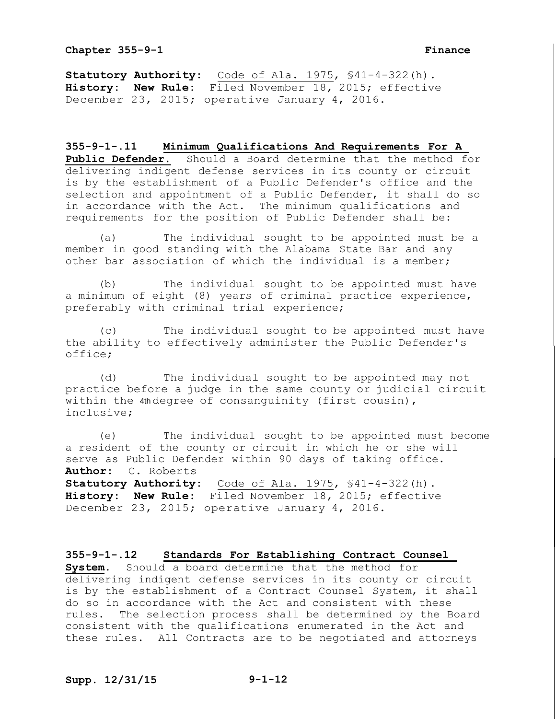**Statutory Authority:** Code of Ala. 1975, §41-4-322(h). **History: New Rule:** Filed November 18, 2015; effective December 23, 2015; operative January 4, 2016.

**355-9-1-.11 Minimum Qualifications And Requirements For A Public Defender.** Should a Board determine that the method for delivering indigent defense services in its county or circuit is by the establishment of a Public Defender's office and the selection and appointment of a Public Defender, it shall do so in accordance with the Act. The minimum qualifications and requirements for the position of Public Defender shall be:

(a) The individual sought to be appointed must be a member in good standing with the Alabama State Bar and any other bar association of which the individual is a member;

(b) The individual sought to be appointed must have a minimum of eight (8) years of criminal practice experience, preferably with criminal trial experience;

(c) The individual sought to be appointed must have the ability to effectively administer the Public Defender's office;

(d) The individual sought to be appointed may not practice before a judge in the same county or judicial circuit within the 4th degree of consanguinity (first cousin), inclusive;

(e) The individual sought to be appointed must become a resident of the county or circuit in which he or she will serve as Public Defender within 90 days of taking office. **Author:** C. Roberts Statutory Authority: Code of Ala. 1975, \$41-4-322(h). **History: New Rule:** Filed November 18, 2015; effective December 23, 2015; operative January 4, 2016.

**355-9-1-.12 Standards For Establishing Contract Counsel System.** Should a board determine that the method for delivering indigent defense services in its county or circuit is by the establishment of a Contract Counsel System, it shall do so in accordance with the Act and consistent with these rules. The selection process shall be determined by the Board consistent with the qualifications enumerated in the Act and these rules. All Contracts are to be negotiated and attorneys